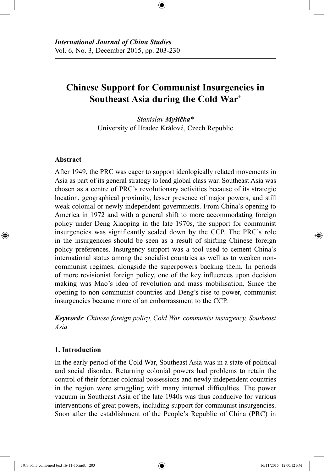# **Chinese Support for Communist Insurgencies in Southeast Asia during the Cold War**<sup>+</sup>

⊕

*Stanislav Myšička\** University of Hradec Králové, Czech Republic

# **Abstract**

⊕

After 1949, the PRC was eager to support ideologically related movements in Asia as part of its general strategy to lead global class war. Southeast Asia was chosen as a centre of PRC's revolutionary activities because of its strategic location, geographical proximity, lesser presence of major powers, and still weak colonial or newly independent governments. From China's opening to America in 1972 and with a general shift to more accommodating foreign policy under Deng Xiaoping in the late 1970s, the support for communist insurgencies was significantly scaled down by the CCP. The PRC's role in the insurgencies should be seen as a result of shifting Chinese foreign policy preferences. Insurgency support was a tool used to cement China's international status among the socialist countries as well as to weaken noncommunist regimes, alongside the superpowers backing them. In periods of more revisionist foreign policy, one of the key influences upon decision making was Mao's idea of revolution and mass mobilisation. Since the opening to non-communist countries and Deng's rise to power, communist insurgencies became more of an embarrassment to the CCP.

*Keywords*: *Chinese foreign policy, Cold War, communist insurgency, Southeast Asia*

# **1. Introduction**

In the early period of the Cold War, Southeast Asia was in a state of political and social disorder. Returning colonial powers had problems to retain the control of their former colonial possessions and newly independent countries in the region were struggling with many internal difficulties. The power vacuum in Southeast Asia of the late 1940s was thus conducive for various interventions of great powers, including support for communist insurgencies. Soon after the establishment of the People's Republic of China (PRC) in

IJCS v6n3 combined text 16-11-15.indb 203 16/11/2015 12:00:12 PM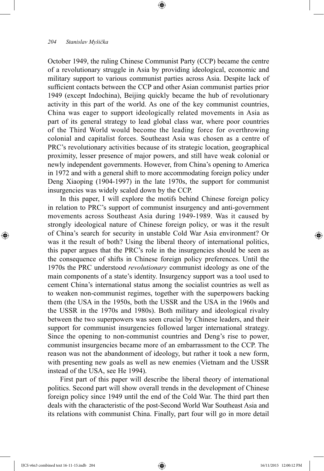October 1949, the ruling Chinese Communist Party (CCP) became the centre of a revolutionary struggle in Asia by providing ideological, economic and military support to various communist parties across Asia. Despite lack of sufficient contacts between the CCP and other Asian communist parties prior 1949 (except Indochina), Beijing quickly became the hub of revolutionary activity in this part of the world. As one of the key communist countries, China was eager to support ideologically related movements in Asia as part of its general strategy to lead global class war, where poor countries of the Third World would become the leading force for overthrowing colonial and capitalist forces. Southeast Asia was chosen as a centre of PRC's revolutionary activities because of its strategic location, geographical proximity, lesser presence of major powers, and still have weak colonial or newly independent governments. However, from China's opening to America in 1972 and with a general shift to more accommodating foreign policy under Deng Xiaoping (1904-1997) in the late 1970s, the support for communist insurgencies was widely scaled down by the CCP.

⊕

In this paper, I will explore the motifs behind Chinese foreign policy in relation to PRC's support of communist insurgency and anti-government movements across Southeast Asia during 1949-1989. Was it caused by strongly ideological nature of Chinese foreign policy, or was it the result of China's search for security in unstable Cold War Asia environment? Or was it the result of both? Using the liberal theory of international politics, this paper argues that the PRC's role in the insurgencies should be seen as the consequence of shifts in Chinese foreign policy preferences. Until the 1970s the PRC understood *revolutionary* communist ideology as one of the main components of a state's identity. Insurgency support was a tool used to cement China's international status among the socialist countries as well as to weaken non-communist regimes, together with the superpowers backing them (the USA in the 1950s, both the USSR and the USA in the 1960s and the USSR in the 1970s and 1980s). Both military and ideological rivalry between the two superpowers was seen crucial by Chinese leaders, and their support for communist insurgencies followed larger international strategy. Since the opening to non-communist countries and Deng's rise to power, communist insurgencies became more of an embarrassment to the CCP. The reason was not the abandonment of ideology, but rather it took a new form, with presenting new goals as well as new enemies (Vietnam and the USSR instead of the USA, see He 1994).

First part of this paper will describe the liberal theory of international politics. Second part will show overall trends in the development of Chinese foreign policy since 1949 until the end of the Cold War. The third part then deals with the characteristic of the post-Second World War Southeast Asia and its relations with communist China. Finally, part four will go in more detail

⊕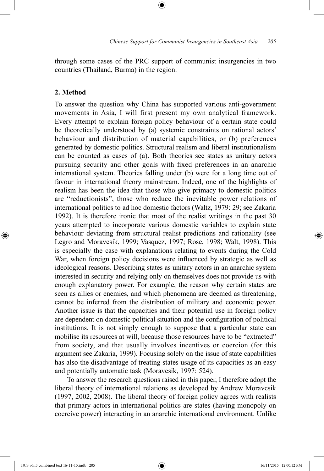through some cases of the PRC support of communist insurgencies in two countries (Thailand, Burma) in the region.

⊕

# **2. Method**

⊕

To answer the question why China has supported various anti-government movements in Asia, I will first present my own analytical framework. Every attempt to explain foreign policy behaviour of a certain state could be theoretically understood by (a) systemic constraints on rational actors' behaviour and distribution of material capabilities, or (b) preferences generated by domestic politics. Structural realism and liberal institutionalism can be counted as cases of (a). Both theories see states as unitary actors pursuing security and other goals with fixed preferences in an anarchic international system. Theories falling under (b) were for a long time out of favour in international theory mainstream. Indeed, one of the highlights of realism has been the idea that those who give primacy to domestic politics are "reductionists", those who reduce the inevitable power relations of international politics to ad hoc domestic factors (Waltz, 1979: 29; see Zakaria 1992). It is therefore ironic that most of the realist writings in the past 30 years attempted to incorporate various domestic variables to explain state behaviour deviating from structural realist predictions and rationality (see Legro and Moravcsik, 1999; Vasquez, 1997; Rose, 1998; Walt, 1998). This is especially the case with explanations relating to events during the Cold War, when foreign policy decisions were influenced by strategic as well as ideological reasons. Describing states as unitary actors in an anarchic system interested in security and relying only on themselves does not provide us with enough explanatory power. For example, the reason why certain states are seen as allies or enemies, and which phenomena are deemed as threatening, cannot be inferred from the distribution of military and economic power. Another issue is that the capacities and their potential use in foreign policy are dependent on domestic political situation and the configuration of political institutions. It is not simply enough to suppose that a particular state can mobilise its resources at will, because those resources have to be "extracted" from society, and that usually involves incentives or coercion (for this argument see Zakaria, 1999). Focusing solely on the issue of state capabilities has also the disadvantage of treating states usage of its capacities as an easy and potentially automatic task (Moravcsik, 1997: 524).

To answer the research questions raised in this paper, I therefore adopt the liberal theory of international relations as developed by Andrew Moravcsik (1997, 2002, 2008). The liberal theory of foreign policy agrees with realists that primary actors in international politics are states (having monopoly on coercive power) interacting in an anarchic international environment. Unlike

IJCS v6n3 combined text 16-11-15.indb 205 16/11/2015 12:00:12 PM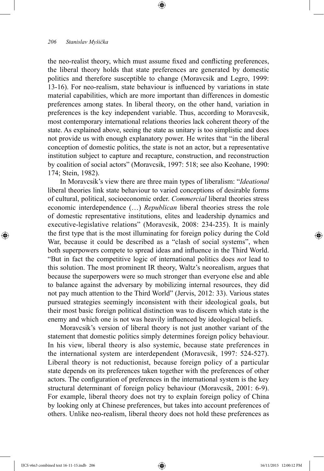the neo-realist theory, which must assume fixed and conflicting preferences, the liberal theory holds that state preferences are generated by domestic politics and therefore susceptible to change (Moravcsik and Legro, 1999: 13-16). For neo-realism, state behaviour is influenced by variations in state material capabilities, which are more important than differences in domestic preferences among states. In liberal theory, on the other hand, variation in preferences is the key independent variable. Thus, according to Moravcsik, most contemporary international relations theories lack coherent theory of the state. As explained above, seeing the state as unitary is too simplistic and does not provide us with enough explanatory power. He writes that "in the liberal conception of domestic politics, the state is not an actor, but a representative institution subject to capture and recapture, construction, and reconstruction by coalition of social actors" (Moravcsik, 1997: 518; see also Keohane, 1990: 174; Stein, 1982).

⊕

In Moravcsik's view there are three main types of liberalism: "*Ideational* liberal theories link state behaviour to varied conceptions of desirable forms of cultural, political, socioeconomic order. *Commercial* liberal theories stress economic interdependence (…) *Republican* liberal theories stress the role of domestic representative institutions, elites and leadership dynamics and executive-legislative relations" (Moravcsik, 2008: 234-235). It is mainly the first type that is the most illuminating for foreign policy during the Cold War, because it could be described as a "clash of social systems", when both superpowers compete to spread ideas and influence in the Third World. "But in fact the competitive logic of international politics does *not* lead to this solution. The most prominent IR theory, Waltz's neorealism, argues that because the superpowers were so much stronger than everyone else and able to balance against the adversary by mobilizing internal resources, they did not pay much attention to the Third World" (Jervis, 2012: 33). Various states pursued strategies seemingly inconsistent with their ideological goals, but their most basic foreign political distinction was to discern which state is the enemy and which one is not was heavily influenced by ideological beliefs.

Moravcsik's version of liberal theory is not just another variant of the statement that domestic politics simply determines foreign policy behaviour. In his view, liberal theory is also systemic, because state preferences in the international system are interdependent (Moravcsik, 1997: 524-527). Liberal theory is not reductionist, because foreign policy of a particular state depends on its preferences taken together with the preferences of other actors. The configuration of preferences in the international system is the key structural determinant of foreign policy behaviour (Moravcsik, 2001: 6-9). For example, liberal theory does not try to explain foreign policy of China by looking only at Chinese preferences, but takes into account preferences of others. Unlike neo-realism, liberal theory does not hold these preferences as

⊕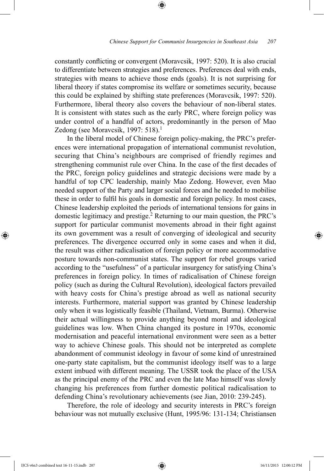constantly conflicting or convergent (Moravcsik, 1997: 520). It is also crucial to differentiate between strategies and preferences. Preferences deal with ends, strategies with means to achieve those ends (goals). It is not surprising for liberal theory if states compromise its welfare or sometimes security, because this could be explained by shifting state preferences (Moravcsik, 1997: 520). Furthermore, liberal theory also covers the behaviour of non-liberal states. It is consistent with states such as the early PRC, where foreign policy was under control of a handful of actors, predominantly in the person of Mao Zedong (see Moravcsik, 1997: 518).<sup>1</sup>

⊕

In the liberal model of Chinese foreign policy-making, the PRC's preferences were international propagation of international communist revolution, securing that China's neighbours are comprised of friendly regimes and strengthening communist rule over China. In the case of the first decades of the PRC, foreign policy guidelines and strategic decisions were made by a handful of top CPC leadership, mainly Mao Zedong. However, even Mao needed support of the Party and larger social forces and he needed to mobilise these in order to fulfil his goals in domestic and foreign policy. In most cases, Chinese leadership exploited the periods of international tensions for gains in domestic legitimacy and prestige.2 Returning to our main question, the PRC's support for particular communist movements abroad in their fight against its own government was a result of converging of ideological and security preferences. The divergence occurred only in some cases and when it did, the result was either radicalisation of foreign policy or more accommodative posture towards non-communist states. The support for rebel groups varied according to the "usefulness" of a particular insurgency for satisfying China's preferences in foreign policy. In times of radicalisation of Chinese foreign policy (such as during the Cultural Revolution), ideological factors prevailed with heavy costs for China's prestige abroad as well as national security interests. Furthermore, material support was granted by Chinese leadership only when it was logistically feasible (Thailand, Vietnam, Burma). Otherwise their actual willingness to provide anything beyond moral and ideological guidelines was low. When China changed its posture in 1970s, economic modernisation and peaceful international environment were seen as a better way to achieve Chinese goals. This should not be interpreted as complete abandonment of communist ideology in favour of some kind of unrestrained one-party state capitalism, but the communist ideology itself was to a large extent imbued with different meaning. The USSR took the place of the USA as the principal enemy of the PRC and even the late Mao himself was slowly changing his preferences from further domestic political radicalisation to defending China's revolutionary achievements (see Jian, 2010: 239-245).

Therefore, the role of ideology and security interests in PRC's foreign behaviour was not mutually exclusive (Hunt, 1995/96: 131-134; Christiansen

IJCS v6n3 combined text 16-11-15.indb 207 16/11/2015 12:00:12 PM

⊕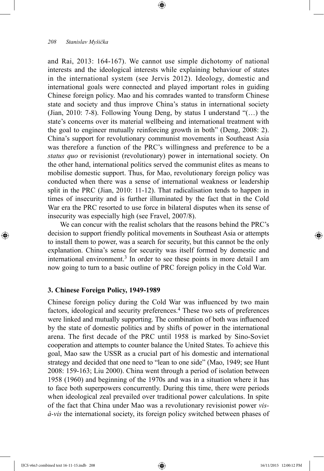and Rai, 2013: 164-167). We cannot use simple dichotomy of national interests and the ideological interests while explaining behaviour of states in the international system (see Jervis 2012). Ideology, domestic and international goals were connected and played important roles in guiding Chinese foreign policy. Mao and his comrades wanted to transform Chinese state and society and thus improve China's status in international society (Jian, 2010: 7-8). Following Young Deng, by status I understand "(…) the state's concerns over its material wellbeing and international treatment with the goal to engineer mutually reinforcing growth in both" (Deng, 2008: 2). China's support for revolutionary communist movements in Southeast Asia was therefore a function of the PRC's willingness and preference to be a *status quo* or revisionist (revolutionary) power in international society. On the other hand, international politics served the communist elites as means to mobilise domestic support. Thus, for Mao, revolutionary foreign policy was conducted when there was a sense of international weakness or leadership split in the PRC (Jian, 2010: 11-12). That radicalisation tends to happen in times of insecurity and is further illuminated by the fact that in the Cold War era the PRC resorted to use force in bilateral disputes when its sense of insecurity was especially high (see Fravel, 2007/8).

⊕

We can concur with the realist scholars that the reasons behind the PRC's decision to support friendly political movements in Southeast Asia or attempts to install them to power, was a search for security, but this cannot be the only explanation. China's sense for security was itself formed by domestic and international environment.<sup>3</sup> In order to see these points in more detail I am now going to turn to a basic outline of PRC foreign policy in the Cold War.

#### **3. Chinese Foreign Policy, 1949-1989**

Chinese foreign policy during the Cold War was influenced by two main factors, ideological and security preferences.<sup>4</sup> These two sets of preferences were linked and mutually supporting. The combination of both was influenced by the state of domestic politics and by shifts of power in the international arena. The first decade of the PRC until 1958 is marked by Sino-Soviet cooperation and attempts to counter balance the United States. To achieve this goal, Mao saw the USSR as a crucial part of his domestic and international strategy and decided that one need to "lean to one side" (Mao, 1949; see Hunt 2008: 159-163; Liu 2000). China went through a period of isolation between 1958 (1960) and beginning of the 1970s and was in a situation where it has to face both superpowers concurrently. During this time, there were periods when ideological zeal prevailed over traditional power calculations. In spite of the fact that China under Mao was a revolutionary revisionist power *visà-vis* the international society, its foreign policy switched between phases of

⊕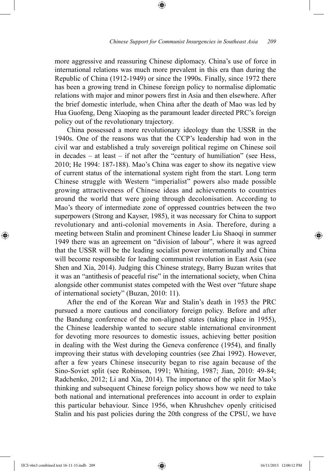more aggressive and reassuring Chinese diplomacy. China's use of force in international relations was much more prevalent in this era than during the Republic of China (1912-1949) or since the 1990s. Finally, since 1972 there has been a growing trend in Chinese foreign policy to normalise diplomatic relations with major and minor powers first in Asia and then elsewhere. After the brief domestic interlude, when China after the death of Mao was led by Hua Guofeng, Deng Xiaoping as the paramount leader directed PRC's foreign policy out of the revolutionary trajectory.

⊕

China possessed a more revolutionary ideology than the USSR in the 1940s. One of the reasons was that the CCP's leadership had won in the civil war and established a truly sovereign political regime on Chinese soil in decades *–* at least *–* if not after the "century of humiliation" (see Hess, 2010; He 1994: 187-188). Mao's China was eager to show its negative view of current status of the international system right from the start. Long term Chinese struggle with Western "imperialist" powers also made possible growing attractiveness of Chinese ideas and achievements to countries around the world that were going through decolonisation. According to Mao's theory of intermediate zone of oppressed countries between the two superpowers (Strong and Kayser, 1985), it was necessary for China to support revolutionary and anti-colonial movements in Asia. Therefore, during a meeting between Stalin and prominent Chinese leader Liu Shaoqi in summer 1949 there was an agreement on "division of labour", where it was agreed that the USSR will be the leading socialist power internationally and China will become responsible for leading communist revolution in East Asia (see Shen and Xia, 2014). Judging this Chinese strategy, Barry Buzan writes that it was an "antithesis of peaceful rise" in the international society, when China alongside other communist states competed with the West over "future shape of international society" (Buzan, 2010: 11).

After the end of the Korean War and Stalin's death in 1953 the PRC pursued a more cautious and conciliatory foreign policy. Before and after the Bandung conference of the non-aligned states (taking place in 1955), the Chinese leadership wanted to secure stable international environment for devoting more resources to domestic issues, achieving better position in dealing with the West during the Geneva conference (1954), and finally improving their status with developing countries (see Zhai 1992). However, after a few years Chinese insecurity began to rise again because of the Sino-Soviet split (see Robinson, 1991; Whiting, 1987; Jian, 2010: 49-84; Radchenko, 2012; Li and Xia, 2014). The importance of the split for Mao's thinking and subsequent Chinese foreign policy shows how we need to take both national and international preferences into account in order to explain this particular behaviour. Since 1956, when Khrushchev openly criticised Stalin and his past policies during the 20th congress of the CPSU, we have

IJCS v6n3 combined text 16-11-15.indb 209 16/11/2015 12:00:12 PM

⊕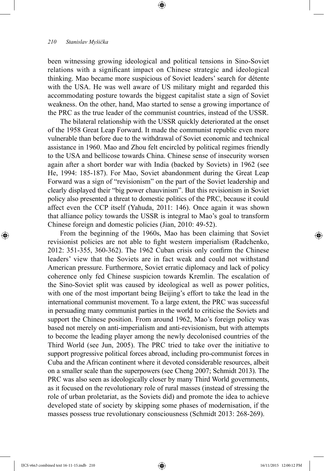been witnessing growing ideological and political tensions in Sino-Soviet relations with a significant impact on Chinese strategic and ideological thinking. Mao became more suspicious of Soviet leaders' search for détente with the USA. He was well aware of US military might and regarded this accommodating posture towards the biggest capitalist state a sign of Soviet weakness. On the other, hand, Mao started to sense a growing importance of the PRC as the true leader of the communist countries, instead of the USSR.

⊕

The bilateral relationship with the USSR quickly deteriorated at the onset of the 1958 Great Leap Forward. It made the communist republic even more vulnerable than before due to the withdrawal of Soviet economic and technical assistance in 1960. Mao and Zhou felt encircled by political regimes friendly to the USA and bellicose towards China. Chinese sense of insecurity worsen again after a short border war with India (backed by Soviets) in 1962 (see He, 1994: 185-187). For Mao, Soviet abandonment during the Great Leap Forward was a sign of "revisionism" on the part of the Soviet leadership and clearly displayed their "big power chauvinism". But this revisionism in Soviet policy also presented a threat to domestic politics of the PRC, because it could affect even the CCP itself (Yahuda, 2011: 146). Once again it was shown that alliance policy towards the USSR is integral to Mao's goal to transform Chinese foreign and domestic policies (Jian, 2010: 49-52).

From the beginning of the 1960s, Mao has been claiming that Soviet revisionist policies are not able to fight western imperialism (Radchenko, 2012: 351-355, 360-362). The 1962 Cuban crisis only confirm the Chinese leaders' view that the Soviets are in fact weak and could not withstand American pressure. Furthermore, Soviet erratic diplomacy and lack of policy coherence only fed Chinese suspicion towards Kremlin. The escalation of the Sino-Soviet split was caused by ideological as well as power politics, with one of the most important being Beijing's effort to take the lead in the international communist movement. To a large extent, the PRC was successful in persuading many communist parties in the world to criticise the Soviets and support the Chinese position. From around 1962, Mao's foreign policy was based not merely on anti-imperialism and anti-revisionism, but with attempts to become the leading player among the newly decolonised countries of the Third World (see Jun, 2005). The PRC tried to take over the initiative to support progressive political forces abroad, including pro-communist forces in Cuba and the African continent where it devoted considerable resources, albeit on a smaller scale than the superpowers (see Cheng 2007; Schmidt 2013). The PRC was also seen as ideologically closer by many Third World governments, as it focused on the revolutionary role of rural masses (instead of stressing the role of urban proletariat, as the Soviets did) and promote the idea to achieve developed state of society by skipping some phases of modernisation, if the masses possess true revolutionary consciousness (Schmidt 2013: 268-269).

⊕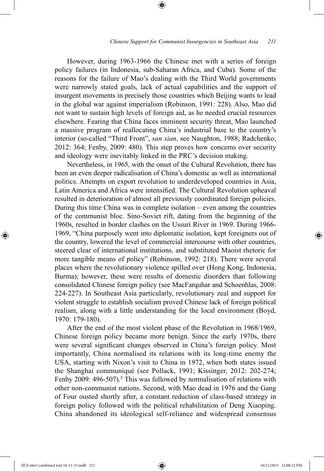However, during 1963-1966 the Chinese met with a series of foreign policy failures (in Indonesia, sub-Saharan Africa, and Cuba). Some of the reasons for the failure of Mao's dealing with the Third World governments were narrowly stated goals, lack of actual capabilities and the support of insurgent movements in precisely those countries which Beijing wants to lead in the global war against imperialism (Robinson, 1991: 228). Also, Mao did not want to sustain high levels of foreign aid, as he needed crucial resources elsewhere. Fearing that China faces imminent security threat, Mao launched a massive program of reallocating China's industrial base to the country's interior (so-called "Third Front", *san xian*, see Naughton, 1988; Radchenko, 2012: 364; Fenby, 2009: 480). This step proves how concerns over security and ideology were inevitably linked in the PRC's decision making.

⊕

Nevertheless, in 1965, with the onset of the Cultural Revolution, there has been an even deeper radicalisation of China's domestic as well as international politics. Attempts on export revolution to underdeveloped countries in Asia, Latin America and Africa were intensified. The Cultural Revolution upheaval resulted in deterioration of almost all previously coordinated foreign policies. During this time China was in complete isolation *–* even among the countries of the communist bloc. Sino-Soviet rift, dating from the beginning of the 1960s, resulted in border clashes on the Ussuri River in 1969. During 1966- 1969, "China purposely went into diplomatic isolation, kept foreigners out of the country, lowered the level of commercial intercourse with other countries, steered clear of international institutions, and substituted Maoist rhetoric for more tangible means of policy" (Robinson, 1992: 218). There were several places where the revolutionary violence spilled over (Hong Kong, Indonesia, Burma); however, these were results of domestic disorders than following consolidated Chinese foreign policy (see MacFarquhar and Schoenhlas, 2008: 224-227). In Southeast Asia particularly, revolutionary zeal and support for violent struggle to establish socialism proved Chinese lack of foreign political realism, along with a little understanding for the local environment (Boyd, 1970: 179-180).

After the end of the most violent phase of the Revolution in 1968/1969, Chinese foreign policy became more benign. Since the early 1970s, there were several significant changes observed in China's foreign policy. Most importantly, China normalised its relations with its long-time enemy the USA, starting with Nixon's visit to China in 1972, when both states issued the Shanghai communiqué (see Pollack, 1991; Kissinger, 2012: 202-274; Fenby 2009: 496-507).<sup>5</sup> This was followed by normalisation of relations with other non-communist nations. Second, with Mao dead in 1976 and the Gang of Four ousted shortly after, a constant reduction of class-based strategy in foreign policy followed with the political rehabilitation of Deng Xiaoping. China abandoned its ideological self-reliance and widespread consensus

IJCS v6n3 combined text 16-11-15.indb 211 16/11/2015 12:00:12 PM

⊕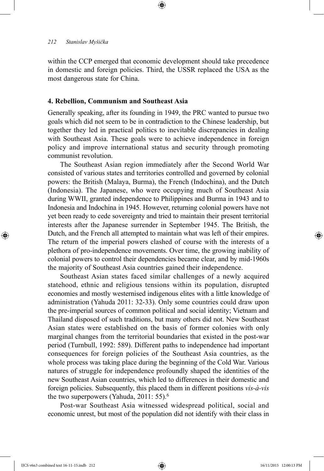within the CCP emerged that economic development should take precedence in domestic and foreign policies. Third, the USSR replaced the USA as the most dangerous state for China.

⊕

# **4. Rebellion, Communism and Southeast Asia**

Generally speaking, after its founding in 1949, the PRC wanted to pursue two goals which did not seem to be in contradiction to the Chinese leadership, but together they led in practical politics to inevitable discrepancies in dealing with Southeast Asia. These goals were to achieve independence in foreign policy and improve international status and security through promoting communist revolution.

The Southeast Asian region immediately after the Second World War consisted of various states and territories controlled and governed by colonial powers: the British (Malaya, Burma), the French (Indochina), and the Dutch (Indonesia). The Japanese, who were occupying much of Southeast Asia during WWII, granted independence to Philippines and Burma in 1943 and to Indonesia and Indochina in 1945. However, returning colonial powers have not yet been ready to cede sovereignty and tried to maintain their present territorial interests after the Japanese surrender in September 1945. The British, the Dutch, and the French all attempted to maintain what was left of their empires. The return of the imperial powers clashed of course with the interests of a plethora of pro-independence movements. Over time, the growing inability of colonial powers to control their dependencies became clear, and by mid-1960s the majority of Southeast Asia countries gained their independence.

Southeast Asian states faced similar challenges of a newly acquired statehood, ethnic and religious tensions within its population, disrupted economies and mostly westernised indigenous elites with a little knowledge of administration (Yahuda 2011: 32-33). Only some countries could draw upon the pre-imperial sources of common political and social identity; Vietnam and Thailand disposed of such traditions, but many others did not. New Southeast Asian states were established on the basis of former colonies with only marginal changes from the territorial boundaries that existed in the post-war period (Turnbull, 1992: 589). Different paths to independence had important consequences for foreign policies of the Southeast Asia countries, as the whole process was taking place during the beginning of the Cold War. Various natures of struggle for independence profoundly shaped the identities of the new Southeast Asian countries, which led to differences in their domestic and foreign policies. Subsequently, this placed them in different positions *vis-à-vis*  the two superpowers (Yahuda, 2011: 55).<sup>6</sup>

Post-war Southeast Asia witnessed widespread political, social and economic unrest, but most of the population did not identify with their class in

IJCS v6n3 combined text 16-11-15.indb 212 16/11/2015 12:00:13 PM

⊕

↔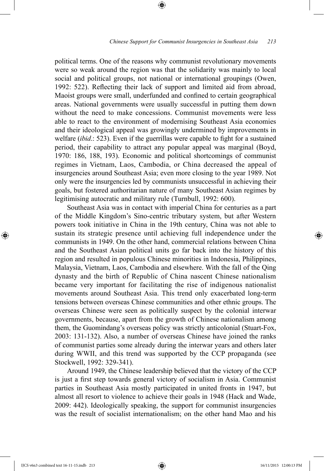political terms. One of the reasons why communist revolutionary movements were so weak around the region was that the solidarity was mainly to local social and political groups, not national or international groupings (Owen, 1992: 522). Reflecting their lack of support and limited aid from abroad, Maoist groups were small, underfunded and confined to certain geographical areas. National governments were usually successful in putting them down without the need to make concessions. Communist movements were less able to react to the environment of modernising Southeast Asia economies and their ideological appeal was growingly undermined by improvements in welfare (*ibid*.: 523). Even if the guerrillas were capable to fight for a sustained period, their capability to attract any popular appeal was marginal (Boyd, 1970: 186, 188, 193). Economic and political shortcomings of communist regimes in Vietnam, Laos, Cambodia, or China decreased the appeal of insurgencies around Southeast Asia; even more closing to the year 1989. Not only were the insurgencies led by communists unsuccessful in achieving their goals, but fostered authoritarian nature of many Southeast Asian regimes by legitimising autocratic and military rule (Turnbull, 1992: 600).

⊕

Southeast Asia was in contact with imperial China for centuries as a part of the Middle Kingdom's Sino-centric tributary system, but after Western powers took initiative in China in the 19th century, China was not able to sustain its strategic presence until achieving full independence under the communists in 1949. On the other hand, commercial relations between China and the Southeast Asian political units go far back into the history of this region and resulted in populous Chinese minorities in Indonesia, Philippines, Malaysia, Vietnam, Laos, Cambodia and elsewhere. With the fall of the Qing dynasty and the birth of Republic of China nascent Chinese nationalism became very important for facilitating the rise of indigenous nationalist movements around Southeast Asia. This trend only exacerbated long-term tensions between overseas Chinese communities and other ethnic groups. The overseas Chinese were seen as politically suspect by the colonial interwar governments, because, apart from the growth of Chinese nationalism among them, the Guomindang's overseas policy was strictly anticolonial (Stuart-Fox, 2003: 131-132). Also, a number of overseas Chinese have joined the ranks of communist parties some already during the interwar years and others later during WWII, and this trend was supported by the CCP propaganda (see Stockwell, 1992: 329-341).

Around 1949, the Chinese leadership believed that the victory of the CCP is just a first step towards general victory of socialism in Asia. Communist parties in Southeast Asia mostly participated in united fronts in 1947, but almost all resort to violence to achieve their goals in 1948 (Hack and Wade, 2009: 442). Ideologically speaking, the support for communist insurgencies was the result of socialist internationalism; on the other hand Mao and his

IJCS v6n3 combined text 16-11-15.indb 213 16/11/2015 12:00:13 PM

⊕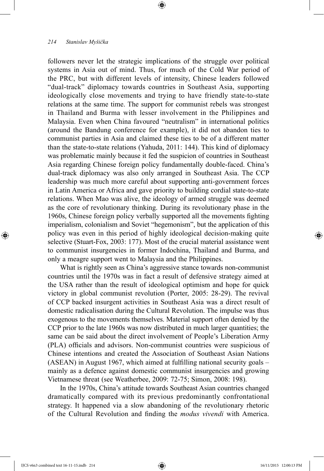followers never let the strategic implications of the struggle over political systems in Asia out of mind. Thus, for much of the Cold War period of the PRC, but with different levels of intensity, Chinese leaders followed "dual-track" diplomacy towards countries in Southeast Asia, supporting ideologically close movements and trying to have friendly state-to-state relations at the same time. The support for communist rebels was strongest in Thailand and Burma with lesser involvement in the Philippines and Malaysia. Even when China favoured "neutralism" in international politics (around the Bandung conference for example), it did not abandon ties to communist parties in Asia and claimed these ties to be of a different matter than the state-to-state relations (Yahuda, 2011: 144). This kind of diplomacy was problematic mainly because it fed the suspicion of countries in Southeast Asia regarding Chinese foreign policy fundamentally double-faced. China's dual-track diplomacy was also only arranged in Southeast Asia. The CCP leadership was much more careful about supporting anti-government forces in Latin America or Africa and gave priority to building cordial state-to-state relations. When Mao was alive, the ideology of armed struggle was deemed as the core of revolutionary thinking. During its revolutionary phase in the 1960s, Chinese foreign policy verbally supported all the movements fighting imperialism, colonialism and Soviet "hegemonism", but the application of this policy was even in this period of highly ideological decision-making quite selective (Stuart-Fox, 2003: 177). Most of the crucial material assistance went to communist insurgencies in former Indochina, Thailand and Burma, and only a meagre support went to Malaysia and the Philippines.

⊕

What is rightly seen as China's aggressive stance towards non-communist countries until the 1970s was in fact a result of defensive strategy aimed at the USA rather than the result of ideological optimism and hope for quick victory in global communist revolution (Porter, 2005: 28-29). The revival of CCP backed insurgent activities in Southeast Asia was a direct result of domestic radicalisation during the Cultural Revolution. The impulse was thus exogenous to the movements themselves. Material support often denied by the CCP prior to the late 1960s was now distributed in much larger quantities; the same can be said about the direct involvement of People's Liberation Army (PLA) officials and advisors. Non-communist countries were suspicious of Chinese intentions and created the Association of Southeast Asian Nations (ASEAN) in August 1967, which aimed at fulfilling national security goals – mainly as a defence against domestic communist insurgencies and growing Vietnamese threat (see Weatherbee, 2009: 72-75; Simon, 2008: 198).

In the 1970s, China's attitude towards Southeast Asian countries changed dramatically compared with its previous predominantly confrontational strategy. It happened via a slow abandoning of the revolutionary rhetoric of the Cultural Revolution and finding the *modus vivendi* with America.

IJCS v6n3 combined text 16-11-15.indb 214 16/11/2015 12:00:13 PM

⊕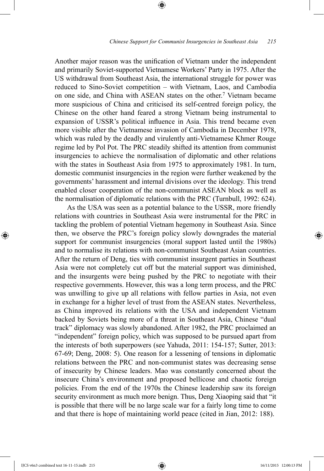Another major reason was the unification of Vietnam under the independent and primarily Soviet-supported Vietnamese Workers' Party in 1975. After the US withdrawal from Southeast Asia, the international struggle for power was reduced to Sino-Soviet competition – with Vietnam, Laos, and Cambodia on one side, and China with ASEAN states on the other.7 Vietnam became more suspicious of China and criticised its self-centred foreign policy, the Chinese on the other hand feared a strong Vietnam being instrumental to expansion of USSR's political influence in Asia. This trend became even more visible after the Vietnamese invasion of Cambodia in December 1978, which was ruled by the deadly and virulently anti-Vietnamese Khmer Rouge regime led by Pol Pot. The PRC steadily shifted its attention from communist insurgencies to achieve the normalisation of diplomatic and other relations with the states in Southeast Asia from 1975 to approximately 1981. In turn, domestic communist insurgencies in the region were further weakened by the governments' harassment and internal divisions over the ideology. This trend enabled closer cooperation of the non-communist ASEAN block as well as the normalisation of diplomatic relations with the PRC (Turnbull, 1992: 624).

⊕

As the USA was seen as a potential balance to the USSR, more friendly relations with countries in Southeast Asia were instrumental for the PRC in tackling the problem of potential Vietnam hegemony in Southeast Asia. Since then, we observe the PRC's foreign policy slowly downgrades the material support for communist insurgencies (moral support lasted until the 1980s) and to normalise its relations with non-communist Southeast Asian countries. After the return of Deng, ties with communist insurgent parties in Southeast Asia were not completely cut off but the material support was diminished, and the insurgents were being pushed by the PRC to negotiate with their respective governments. However, this was a long term process, and the PRC was unwilling to give up all relations with fellow parties in Asia, not even in exchange for a higher level of trust from the ASEAN states. Nevertheless, as China improved its relations with the USA and independent Vietnam backed by Soviets being more of a threat in Southeast Asia, Chinese "dual track" diplomacy was slowly abandoned. After 1982, the PRC proclaimed an "independent" foreign policy, which was supposed to be pursued apart from the interests of both superpowers (see Yahuda, 2011: 154-157; Sutter, 2013: 67-69; Deng, 2008: 5). One reason for a lessening of tensions in diplomatic relations between the PRC and non-communist states was decreasing sense of insecurity by Chinese leaders. Mao was constantly concerned about the insecure China's environment and proposed bellicose and chaotic foreign policies. From the end of the 1970s the Chinese leadership saw its foreign security environment as much more benign. Thus, Deng Xiaoping said that "it is possible that there will be no large scale war for a fairly long time to come and that there is hope of maintaining world peace (cited in Jian, 2012: 188).

⊕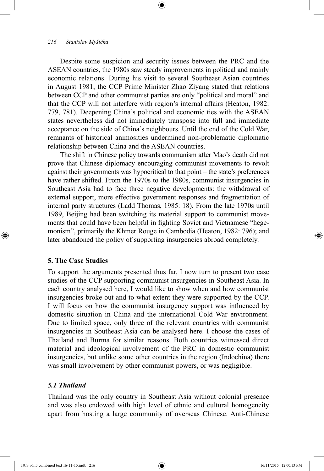Despite some suspicion and security issues between the PRC and the ASEAN countries, the 1980s saw steady improvements in political and mainly economic relations. During his visit to several Southeast Asian countries in August 1981, the CCP Prime Minister Zhao Ziyang stated that relations between CCP and other communist parties are only "political and moral" and that the CCP will not interfere with region's internal affairs (Heaton, 1982: 779, 781). Deepening China's political and economic ties with the ASEAN states nevertheless did not immediately transpose into full and immediate acceptance on the side of China's neighbours. Until the end of the Cold War, remnants of historical animosities undermined non-problematic diplomatic relationship between China and the ASEAN countries.

⊕

The shift in Chinese policy towards communism after Mao's death did not prove that Chinese diplomacy encouraging communist movements to revolt against their governments was hypocritical to that point – the state's preferences have rather shifted. From the 1970s to the 1980s, communist insurgencies in Southeast Asia had to face three negative developments: the withdrawal of external support, more effective government responses and fragmentation of internal party structures (Ladd Thomas, 1985: 18). From the late 1970s until 1989, Beijing had been switching its material support to communist movements that could have been helpful in fighting Soviet and Vietnamese "hegemonism", primarily the Khmer Rouge in Cambodia (Heaton, 1982: 796); and later abandoned the policy of supporting insurgencies abroad completely.

# **5. The Case Studies**

 $\bigoplus$ 

To support the arguments presented thus far, I now turn to present two case studies of the CCP supporting communist insurgencies in Southeast Asia. In each country analysed here, I would like to show when and how communist insurgencies broke out and to what extent they were supported by the CCP. I will focus on how the communist insurgency support was influenced by domestic situation in China and the international Cold War environment. Due to limited space, only three of the relevant countries with communist insurgencies in Southeast Asia can be analysed here. I choose the cases of Thailand and Burma for similar reasons. Both countries witnessed direct material and ideological involvement of the PRC in domestic communist insurgencies, but unlike some other countries in the region (Indochina) there was small involvement by other communist powers, or was negligible.

# *5.1 Thailand*

Thailand was the only country in Southeast Asia without colonial presence and was also endowed with high level of ethnic and cultural homogeneity apart from hosting a large community of overseas Chinese. Anti-Chinese

IJCS v6n3 combined text 16-11-15.indb 216 16/11/2015 12:00:13 PM

↔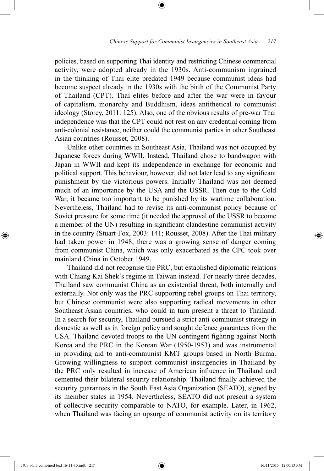policies, based on supporting Thai identity and restricting Chinese commercial activity, were adopted already in the 1930s. Anti-communism ingrained in the thinking of Thai elite predated 1949 because communist ideas had become suspect already in the 1930s with the birth of the Communist Party of Thailand (CPT). Thai elites before and after the war were in favour of capitalism, monarchy and Buddhism, ideas antithetical to communist ideology (Storey, 2011: 125). Also, one of the obvious results of pre-war Thai independence was that the CPT could not rest on any credential coming from anti-colonial resistance, neither could the communist parties in other Southeast Asian countries (Rousset, 2008).

⊕

Unlike other countries in Southeast Asia, Thailand was not occupied by Japanese forces during WWII. Instead, Thailand chose to bandwagon with Japan in WWII and kept its independence in exchange for economic and political support. This behaviour, however, did not later lead to any significant punishment by the victorious powers. Initially Thailand was not deemed much of an importance by the USA and the USSR. Then due to the Cold War, it became too important to be punished by its wartime collaboration. Nevertheless, Thailand had to revise its anti-communist policy because of Soviet pressure for some time (it needed the approval of the USSR to become a member of the UN) resulting in significant clandestine communist activity in the country (Stuart-Fox, 2003: 141; Rousset, 2008). After the Thai military had taken power in 1948, there was a growing sense of danger coming from communist China, which was only exacerbated as the CPC took over mainland China in October 1949.

Thailand did not recognise the PRC, but established diplomatic relations with Chiang Kai Shek's regime in Taiwan instead. For nearly three decades, Thailand saw communist China as an existential threat, both internally and externally. Not only was the PRC supporting rebel groups on Thai territory, but Chinese communist were also supporting radical movements in other Southeast Asian countries, who could in turn present a threat to Thailand. In a search for security, Thailand pursued a strict anti-communist strategy in domestic as well as in foreign policy and sought defence guarantees from the USA. Thailand devoted troops to the UN contingent fighting against North Korea and the PRC in the Korean War (1950-1953) and was instrumental in providing aid to anti-communist KMT groups based in North Burma. Growing willingness to support communist insurgencies in Thailand by the PRC only resulted in increase of American influence in Thailand and cemented their bilateral security relationship. Thailand finally achieved the security guarantees in the South East Asia Organization (SEATO), signed by its member states in 1954. Nevertheless, SEATO did not present a system of collective security comparable to NATO, for example. Later, in 1962, when Thailand was facing an upsurge of communist activity on its territory

⊕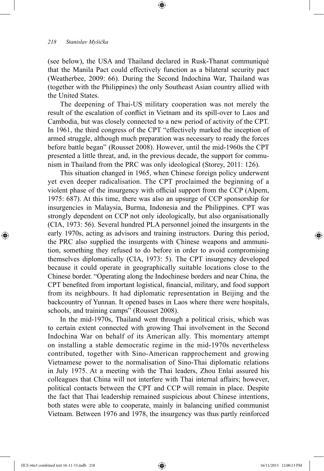(see below), the USA and Thailand declared in Rusk-Thanat communiqué that the Manila Pact could effectively function as a bilateral security pact (Weatherbee, 2009: 66). During the Second Indochina War, Thailand was (together with the Philippines) the only Southeast Asian country allied with the United States.

⊕

The deepening of Thai-US military cooperation was not merely the result of the escalation of conflict in Vietnam and its spill-over to Laos and Cambodia, but was closely connected to a new period of activity of the CPT. In 1961, the third congress of the CPT "effectively marked the inception of armed struggle, although much preparation was necessary to ready the forces before battle began" (Rousset 2008). However, until the mid-1960s the CPT presented a little threat, and, in the previous decade, the support for communism in Thailand from the PRC was only ideological (Storey, 2011: 126).

This situation changed in 1965, when Chinese foreign policy underwent yet even deeper radicalisation. The CPT proclaimed the beginning of a violent phase of the insurgency with official support from the CCP (Alpern, 1975: 687). At this time, there was also an upsurge of CCP sponsorship for insurgencies in Malaysia, Burma, Indonesia and the Philippines. CPT was strongly dependent on CCP not only ideologically, but also organisationally (CIA, 1973: 56). Several hundred PLA personnel joined the insurgents in the early 1970s, acting as advisors and training instructors. During this period, the PRC also supplied the insurgents with Chinese weapons and ammunition, something they refused to do before in order to avoid compromising themselves diplomatically (CIA, 1973: 5). The CPT insurgency developed because it could operate in geographically suitable locations close to the Chinese border. "Operating along the Indochinese borders and near China, the CPT benefited from important logistical, financial, military, and food support from its neighbours. It had diplomatic representation in Beijing and the backcountry of Yunnan. It opened bases in Laos where there were hospitals, schools, and training camps" (Rousset 2008).

In the mid-1970s, Thailand went through a political crisis, which was to certain extent connected with growing Thai involvement in the Second Indochina War on behalf of its American ally. This momentary attempt on installing a stable democratic regime in the mid-1970s nevertheless contributed, together with Sino-American rapprochement and growing Vietnamese power to the normalisation of Sino-Thai diplomatic relations in July 1975. At a meeting with the Thai leaders, Zhou Enlai assured his colleagues that China will not interfere with Thai internal affairs; however, political contacts between the CPT and CCP will remain in place. Despite the fact that Thai leadership remained suspicious about Chinese intentions, both states were able to cooperate, mainly in balancing unified communist Vietnam. Between 1976 and 1978, the insurgency was thus partly reinforced

⊕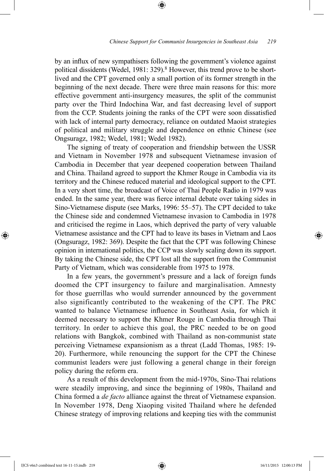by an influx of new sympathisers following the government's violence against political dissidents (Wedel, 1981: 329).<sup>8</sup> However, this trend prove to be shortlived and the CPT governed only a small portion of its former strength in the beginning of the next decade. There were three main reasons for this: more effective government anti-insurgency measures, the split of the communist party over the Third Indochina War, and fast decreasing level of support from the CCP. Students joining the ranks of the CPT were soon dissatisfied with lack of internal party democracy, reliance on outdated Maoist strategies of political and military struggle and dependence on ethnic Chinese (see Ongsuragz, 1982; Wedel, 1981; Wedel 1982).

⊕

The signing of treaty of cooperation and friendship between the USSR and Vietnam in November 1978 and subsequent Vietnamese invasion of Cambodia in December that year deepened cooperation between Thailand and China. Thailand agreed to support the Khmer Rouge in Cambodia via its territory and the Chinese reduced material and ideological support to the CPT. In a very short time, the broadcast of Voice of Thai People Radio in 1979 was ended. In the same year, there was fierce internal debate over taking sides in Sino-Vietnamese dispute (see Marks, 1996: 55–57). The CPT decided to take the Chinese side and condemned Vietnamese invasion to Cambodia in 1978 and criticised the regime in Laos, which deprived the party of very valuable Vietnamese assistance and the CPT had to leave its bases in Vietnam and Laos (Ongsuragz, 1982: 369). Despite the fact that the CPT was following Chinese opinion in international politics, the CCP was slowly scaling down its support. By taking the Chinese side, the CPT lost all the support from the Communist Party of Vietnam, which was considerable from 1975 to 1978.

In a few years, the government's pressure and a lack of foreign funds doomed the CPT insurgency to failure and marginalisation. Amnesty for those guerrillas who would surrender announced by the government also significantly contributed to the weakening of the CPT. The PRC wanted to balance Vietnamese influence in Southeast Asia, for which it deemed necessary to support the Khmer Rouge in Cambodia through Thai territory. In order to achieve this goal, the PRC needed to be on good relations with Bangkok, combined with Thailand as non-communist state perceiving Vietnamese expansionism as a threat (Ladd Thomas, 1985: 19- 20). Furthermore, while renouncing the support for the CPT the Chinese communist leaders were just following a general change in their foreign policy during the reform era.

As a result of this development from the mid-1970s, Sino-Thai relations were steadily improving, and since the beginning of 1980s, Thailand and China formed a *de facto* alliance against the threat of Vietnamese expansion. In November 1978, Deng Xiaoping visited Thailand where he defended Chinese strategy of improving relations and keeping ties with the communist

IJCS v6n3 combined text 16-11-15.indb 219 16/11/2015 12:00:13 PM

⊕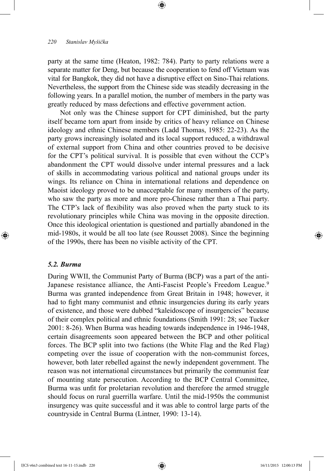party at the same time (Heaton, 1982: 784). Party to party relations were a separate matter for Deng, but because the cooperation to fend off Vietnam was vital for Bangkok, they did not have a disruptive effect on Sino-Thai relations. Nevertheless, the support from the Chinese side was steadily decreasing in the following years. In a parallel motion, the number of members in the party was greatly reduced by mass defections and effective government action.

⊕

Not only was the Chinese support for CPT diminished, but the party itself became torn apart from inside by critics of heavy reliance on Chinese ideology and ethnic Chinese members (Ladd Thomas, 1985: 22-23). As the party grows increasingly isolated and its local support reduced, a withdrawal of external support from China and other countries proved to be decisive for the CPT's political survival. It is possible that even without the CCP's abandonment the CPT would dissolve under internal pressures and a lack of skills in accommodating various political and national groups under its wings. Its reliance on China in international relations and dependence on Maoist ideology proved to be unacceptable for many members of the party, who saw the party as more and more pro-Chinese rather than a Thai party. The CTP's lack of flexibility was also proved when the party stuck to its revolutionary principles while China was moving in the opposite direction. Once this ideological orientation is questioned and partially abandoned in the mid-1980s, it would be all too late (see Rousset 2008). Since the beginning of the 1990s, there has been no visible activity of the CPT.

### *5.2. Burma*

⊕

During WWII, the Communist Party of Burma (BCP) was a part of the anti-Japanese resistance alliance, the Anti-Fascist People's Freedom League.<sup>9</sup> Burma was granted independence from Great Britain in 1948; however, it had to fight many communist and ethnic insurgencies during its early years of existence, and those were dubbed "kaleidoscope of insurgencies" because of their complex political and ethnic foundations (Smith 1991: 28; see Tucker 2001: 8-26). When Burma was heading towards independence in 1946-1948, certain disagreements soon appeared between the BCP and other political forces. The BCP split into two factions (the White Flag and the Red Flag) competing over the issue of cooperation with the non-communist forces, however, both later rebelled against the newly independent government. The reason was not international circumstances but primarily the communist fear of mounting state persecution. According to the BCP Central Committee, Burma was unfit for proletarian revolution and therefore the armed struggle should focus on rural guerrilla warfare. Until the mid-1950s the communist insurgency was quite successful and it was able to control large parts of the countryside in Central Burma (Lintner, 1990: 13-14).

↔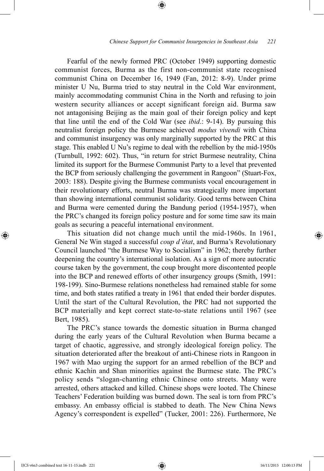Fearful of the newly formed PRC (October 1949) supporting domestic communist forces, Burma as the first non-communist state recognised communist China on December 16, 1949 (Fan, 2012: 8-9). Under prime minister U Nu, Burma tried to stay neutral in the Cold War environment, mainly accommodating communist China in the North and refusing to join western security alliances or accept significant foreign aid. Burma saw not antagonising Beijing as the main goal of their foreign policy and kept that line until the end of the Cold War (see *ibid*.: 9-14). By pursuing this neutralist foreign policy the Burmese achieved *modus vivendi* with China and communist insurgency was only marginally supported by the PRC at this stage. This enabled U Nu's regime to deal with the rebellion by the mid-1950s (Turnbull, 1992: 602). Thus, "in return for strict Burmese neutrality, China limited its support for the Burmese Communist Party to a level that prevented the BCP from seriously challenging the government in Rangoon" (Stuart-Fox, 2003: 188). Despite giving the Burmese communists vocal encouragement in their revolutionary efforts, neutral Burma was strategically more important than showing international communist solidarity. Good terms between China and Burma were cemented during the Bandung period (1954-1957), when the PRC's changed its foreign policy posture and for some time saw its main goals as securing a peaceful international environment.

⊕

This situation did not change much until the mid-1960s. In 1961, General Ne Win staged a successful *coup d'état*, and Burma's Revolutionary Council launched "the Burmese Way to Socialism" in 1962; thereby further deepening the country's international isolation. As a sign of more autocratic course taken by the government, the coup brought more discontented people into the BCP and renewed efforts of other insurgency groups (Smith, 1991: 198-199). Sino-Burmese relations nonetheless had remained stable for some time, and both states ratified a treaty in 1961 that ended their border disputes. Until the start of the Cultural Revolution, the PRC had not supported the BCP materially and kept correct state-to-state relations until 1967 (see Bert, 1985).

The PRC's stance towards the domestic situation in Burma changed during the early years of the Cultural Revolution when Burma became a target of chaotic, aggressive, and strongly ideological foreign policy. The situation deteriorated after the breakout of anti-Chinese riots in Rangoon in 1967 with Mao urging the support for an armed rebellion of the BCP and ethnic Kachin and Shan minorities against the Burmese state. The PRC's policy sends "slogan-chanting ethnic Chinese onto streets. Many were arrested, others attacked and killed. Chinese shops were looted. The Chinese Teachers' Federation building was burned down. The seal is torn from PRC's embassy. An embassy official is stabbed to death. The New China News Agency's correspondent is expelled" (Tucker, 2001: 226). Furthermore, Ne

IJCS v6n3 combined text 16-11-15.indb 221 16/11/2015 12:00:13 PM

⊕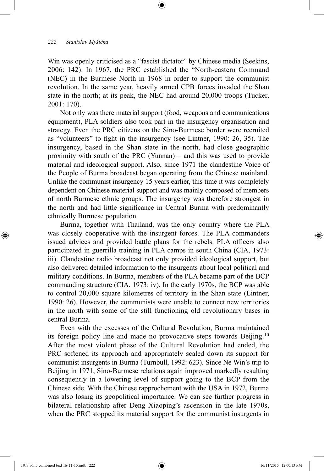Win was openly criticised as a "fascist dictator" by Chinese media (Seekins, 2006: 142). In 1967, the PRC established the "North-eastern Command (NEC) in the Burmese North in 1968 in order to support the communist revolution. In the same year, heavily armed CPB forces invaded the Shan state in the north; at its peak, the NEC had around 20,000 troops (Tucker, 2001: 170).

⊕

Not only was there material support (food, weapons and communications equipment), PLA soldiers also took part in the insurgency organisation and strategy. Even the PRC citizens on the Sino-Burmese border were recruited as "volunteers" to fight in the insurgency (see Lintner, 1990: 26, 35). The insurgency, based in the Shan state in the north, had close geographic proximity with south of the PRC (Yunnan) – and this was used to provide material and ideological support. Also, since 1971 the clandestine Voice of the People of Burma broadcast began operating from the Chinese mainland. Unlike the communist insurgency 15 years earlier, this time it was completely dependent on Chinese material support and was mainly composed of members of north Burmese ethnic groups. The insurgency was therefore strongest in the north and had little significance in Central Burma with predominantly ethnically Burmese population.

Burma, together with Thailand, was the only country where the PLA was closely cooperative with the insurgent forces. The PLA commanders issued advices and provided battle plans for the rebels. PLA officers also participated in guerrilla training in PLA camps in south China (CIA, 1973: iii). Clandestine radio broadcast not only provided ideological support, but also delivered detailed information to the insurgents about local political and military conditions. In Burma, members of the PLA became part of the BCP commanding structure (CIA, 1973: iv). In the early 1970s, the BCP was able to control 20,000 square kilometres of territory in the Shan state (Lintner, 1990: 26). However, the communists were unable to connect new territories in the north with some of the still functioning old revolutionary bases in central Burma.

Even with the excesses of the Cultural Revolution, Burma maintained its foreign policy line and made no provocative steps towards Beijing.10 After the most violent phase of the Cultural Revolution had ended, the PRC softened its approach and appropriately scaled down its support for communist insurgents in Burma (Turnbull, 1992: 623). Since Ne Win's trip to Beijing in 1971, Sino-Burmese relations again improved markedly resulting consequently in a lowering level of support going to the BCP from the Chinese side. With the Chinese rapprochement with the USA in 1972, Burma was also losing its geopolitical importance. We can see further progress in bilateral relationship after Deng Xiaoping's ascension in the late 1970s, when the PRC stopped its material support for the communist insurgents in

⊕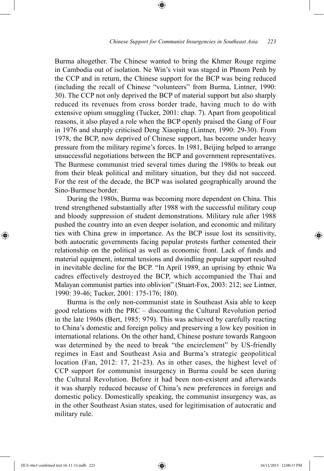Burma altogether. The Chinese wanted to bring the Khmer Rouge regime in Cambodia out of isolation. Ne Win's visit was staged in Phnom Penh by the CCP and in return, the Chinese support for the BCP was being reduced (including the recall of Chinese "volunteers" from Burma, Lintner, 1990: 30). The CCP not only deprived the BCP of material support but also sharply reduced its revenues from cross border trade, having much to do with extensive opium smuggling (Tucker, 2001: chap. 7). Apart from geopolitical reasons, it also played a role when the BCP openly praised the Gang of Four in 1976 and sharply criticised Deng Xiaoping (Lintner, 1990: 29-30). From 1978, the BCP, now deprived of Chinese support, has become under heavy pressure from the military regime's forces. In 1981, Beijing helped to arrange unsuccessful negotiations between the BCP and government representatives. The Burmese communist tried several times during the 1980s to break out from their bleak political and military situation, but they did not succeed. For the rest of the decade, the BCP was isolated geographically around the Sino-Burmese border.

⊕

During the 1980s, Burma was becoming more dependent on China. This trend strengthened substantially after 1988 with the successful military coup and bloody suppression of student demonstrations. Military rule after 1988 pushed the country into an even deeper isolation, and economic and military ties with China grew in importance. As the BCP issue lost its sensitivity, both autocratic governments facing popular protests further cemented their relationship on the political as well as economic front. Lack of funds and material equipment, internal tensions and dwindling popular support resulted in inevitable decline for the BCP. "In April 1989, an uprising by ethnic Wa cadres effectively destroyed the BCP, which accompanied the Thai and Malayan communist parties into oblivion" (Stuart-Fox, 2003: 212; see Lintner, 1990: 39-46; Tucker, 2001: 175-176; 180).

Burma is the only non-communist state in Southeast Asia able to keep good relations with the PRC – discounting the Cultural Revolution period in the late 1960s (Bert, 1985: 979). This was achieved by carefully reacting to China's domestic and foreign policy and preserving a low key position in international relations. On the other hand, Chinese posture towards Rangoon was determined by the need to break "the encirclement" by US-friendly regimes in East and Southeast Asia and Burma's strategic geopolitical location (Fan, 2012: 17, 21-23). As in other cases, the highest level of CCP support for communist insurgency in Burma could be seen during the Cultural Revolution. Before it had been non-existent and afterwards it was sharply reduced because of China's new preferences in foreign and domestic policy. Domestically speaking, the communist insurgency was, as in the other Southeast Asian states, used for legitimisation of autocratic and military rule.

⊕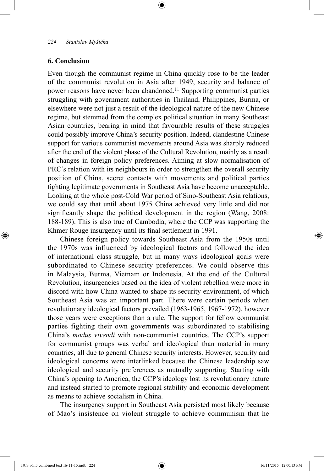# **6. Conclusion**

⊕

Even though the communist regime in China quickly rose to be the leader of the communist revolution in Asia after 1949, security and balance of power reasons have never been abandoned.<sup>11</sup> Supporting communist parties struggling with government authorities in Thailand, Philippines, Burma, or elsewhere were not just a result of the ideological nature of the new Chinese regime, but stemmed from the complex political situation in many Southeast Asian countries, bearing in mind that favourable results of these struggles could possibly improve China's security position. Indeed, clandestine Chinese support for various communist movements around Asia was sharply reduced after the end of the violent phase of the Cultural Revolution, mainly as a result of changes in foreign policy preferences. Aiming at slow normalisation of PRC's relation with its neighbours in order to strengthen the overall security position of China, secret contacts with movements and political parties fighting legitimate governments in Southeast Asia have become unacceptable. Looking at the whole post-Cold War period of Sino-Southeast Asia relations, we could say that until about 1975 China achieved very little and did not significantly shape the political development in the region (Wang, 2008: 188-189). This is also true of Cambodia, where the CCP was supporting the Khmer Rouge insurgency until its final settlement in 1991.

⊕

Chinese foreign policy towards Southeast Asia from the 1950s until the 1970s was influenced by ideological factors and followed the idea of international class struggle, but in many ways ideological goals were subordinated to Chinese security preferences. We could observe this in Malaysia, Burma, Vietnam or Indonesia. At the end of the Cultural Revolution, insurgencies based on the idea of violent rebellion were more in discord with how China wanted to shape its security environment, of which Southeast Asia was an important part. There were certain periods when revolutionary ideological factors prevailed (1963-1965, 1967-1972), however those years were exceptions than a rule. The support for fellow communist parties fighting their own governments was subordinated to stabilising China's *modus vivendi* with non-communist countries. The CCP's support for communist groups was verbal and ideological than material in many countries, all due to general Chinese security interests. However, security and ideological concerns were interlinked because the Chinese leadership saw ideological and security preferences as mutually supporting. Starting with China's opening to America, the CCP's ideology lost its revolutionary nature and instead started to promote regional stability and economic development as means to achieve socialism in China.

The insurgency support in Southeast Asia persisted most likely because of Mao's insistence on violent struggle to achieve communism that he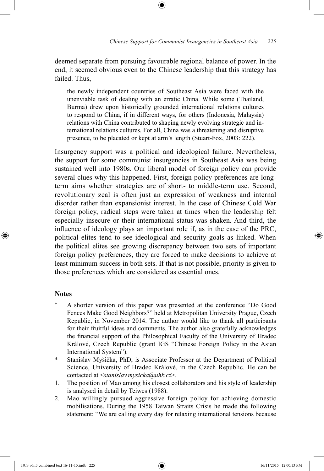deemed separate from pursuing favourable regional balance of power. In the end, it seemed obvious even to the Chinese leadership that this strategy has failed. Thus,

the newly independent countries of Southeast Asia were faced with the unenviable task of dealing with an erratic China. While some (Thailand, Burma) drew upon historically grounded international relations cultures to respond to China, if in different ways, for others (Indonesia, Malaysia) relations with China contributed to shaping newly evolving strategic and international relations cultures. For all, China was a threatening and disruptive presence, to be placated or kept at arm's length (Stuart-Fox, 2003: 222).

Insurgency support was a political and ideological failure. Nevertheless, the support for some communist insurgencies in Southeast Asia was being sustained well into 1980s. Our liberal model of foreign policy can provide several clues why this happened. First, foreign policy preferences are longterm aims whether strategies are of short- to middle-term use. Second, revolutionary zeal is often just an expression of weakness and internal disorder rather than expansionist interest. In the case of Chinese Cold War foreign policy, radical steps were taken at times when the leadership felt especially insecure or their international status was shaken. And third, the influence of ideology plays an important role if, as in the case of the PRC, political elites tend to see ideological and security goals as linked. When the political elites see growing discrepancy between two sets of important foreign policy preferences, they are forced to make decisions to achieve at least minimum success in both sets. If that is not possible, priority is given to those preferences which are considered as essential ones.

# **Notes**

⊕

- A shorter version of this paper was presented at the conference "Do Good Fences Make Good Neighbors?" held at Metropolitan University Prague, Czech Republic, in November 2014. The author would like to thank all participants for their fruitful ideas and comments. The author also gratefully acknowledges the financial support of the Philosophical Faculty of the University of Hradec Králové, Czech Republic (grant IGS "Chinese Foreign Policy in the Asian International System").
- \* Stanislav Myšička, PhD, is Associate Professor at the Department of Political Science, University of Hradec Králové, in the Czech Republic. He can be contacted at <*stanislav.mysicka@uhk.cz*>.
- 1. The position of Mao among his closest collaborators and his style of leadership is analysed in detail by Teiwes (1988).
- 2. Mao willingly pursued aggressive foreign policy for achieving domestic mobilisations. During the 1958 Taiwan Straits Crisis he made the following statement: "We are calling every day for relaxing international tensions because

IJCS v6n3 combined text 16-11-15.indb 225 16/11/2015 12:00:13 PM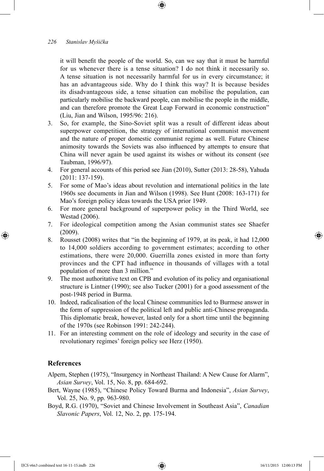it will benefit the people of the world. So, can we say that it must be harmful for us whenever there is a tense situation? I do not think it necessarily so. A tense situation is not necessarily harmful for us in every circumstance; it has an advantageous side. Why do I think this way? It is because besides its disadvantageous side, a tense situation can mobilise the population, can particularly mobilise the backward people, can mobilise the people in the middle, and can therefore promote the Great Leap Forward in economic construction" (Liu, Jian and Wilson, 1995/96: 216).

- 3. So, for example, the Sino-Soviet split was a result of different ideas about superpower competition, the strategy of international communist movement and the nature of proper domestic communist regime as well. Future Chinese animosity towards the Soviets was also influenced by attempts to ensure that China will never again be used against its wishes or without its consent (see Taubman, 1996/97).
- 4. For general accounts of this period see Jian (2010), Sutter (2013: 28-58), Yahuda (2011: 137-159).
- 5. For some of Mao's ideas about revolution and international politics in the late 1960s see documents in Jian and Wilson (1998). See Hunt (2008: 163-171) for Mao's foreign policy ideas towards the USA prior 1949.
- 6. For more general background of superpower policy in the Third World, see Westad (2006).
- 7. For ideological competition among the Asian communist states see Shaefer (2009).
- 8. Rousset (2008) writes that "in the beginning of 1979, at its peak, it had 12,000 to 14,000 soldiers according to government estimates; according to other estimations, there were 20,000. Guerrilla zones existed in more than forty provinces and the CPT had influence in thousands of villages with a total population of more than 3 million."
- 9. The most authoritative text on CPB and evolution of its policy and organisational structure is Lintner (1990); see also Tucker (2001) for a good assessment of the post-1948 period in Burma.
- 10. Indeed, radicalisation of the local Chinese communities led to Burmese answer in the form of suppression of the political left and public anti-Chinese propaganda. This diplomatic break, however, lasted only for a short time until the beginning of the 1970s (see Robinson 1991: 242-244).
- 11. For an interesting comment on the role of ideology and security in the case of revolutionary regimes' foreign policy see Herz (1950).

# **References**

↔

Alpern, Stephen (1975), "Insurgency in Northeast Thailand: A New Cause for Alarm", *Asian Survey*, Vol. 15, No. 8, pp. 684-692.

- Bert, Wayne (1985), "Chinese Policy Toward Burma and Indonesia", *Asian Survey*, Vol. 25, No. 9, pp. 963-980.
- Boyd, R.G. (1970), "Soviet and Chinese Involvement in Southeast Asia", *Canadian Slavonic Papers*, Vol. 12, No. 2, pp. 175-194.

IJCS v6n3 combined text 16-11-15.indb 226 16/11/2015 12:00:13 PM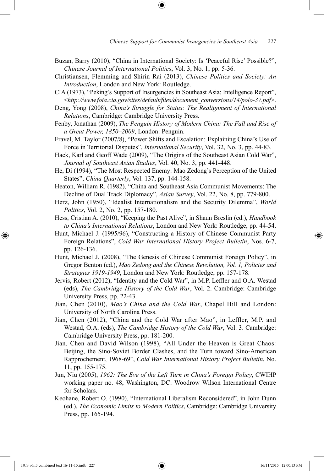- Buzan, Barry (2010), "China in International Society: Is 'Peaceful Rise' Possible?", *Chinese Journal of International Politics*, Vol. 3, No. 1, pp. 5-36.
- Christiansen, Flemming and Shirin Rai (2013), *Chinese Politics and Society: An Introduction*, London and New York: Routledge.
- CIA (1973), "Peking's Support of Insurgencies in Southeast Asia: Intelligence Report", <*http://www.foia.cia.gov/sites/default/files/document\_conversions/14/polo-37.pdf*>.
- Deng, Yong (2008), *China's Struggle for Status: The Realignment of International Relations*, Cambridge: Cambridge University Press.
- Fenby, Jonathan (2009), *The Penguin History of Modern China: The Fall and Rise of a Great Power, 1850–2009*, London: Penguin.
- Fravel, M. Taylor (2007/8), "Power Shifts and Escalation: Explaining China's Use of Force in Territorial Disputes", *International Security*, Vol. 32, No. 3, pp. 44-83.
- Hack, Karl and Geoff Wade (2009), "The Origins of the Southeast Asian Cold War", *Journal of Southeast Asian Studies*, Vol. 40, No. 3, pp. 441-448.
- He, Di (1994), "The Most Respected Enemy: Mao Zedong's Perception of the United States", *China Quarterly*, Vol. 137, pp. 144-158.
- Heaton, William R. (1982), "China and Southeast Asia Communist Movements: The Decline of Dual Track Diplomacy", *Asian Survey*, Vol. 22, No. 8, pp. 779-800.
- Herz, John (1950), "Idealist Internationalism and the Security Dilemma", *World Politics*, Vol. 2, No. 2, pp. 157-180.
- Hess, Cristian A. (2010), "Keeping the Past Alive", in Shaun Breslin (ed.), *Handbook to China's International Relations*, London and New York: Routledge, pp. 44-54.
- Hunt, Michael J. (1995/96), "Constructing a History of Chinese Communist Party Foreign Relations", *Cold War International History Project Bulletin*, Nos. 6-7, pp. 126-136.
- Hunt, Michael J. (2008), "The Genesis of Chinese Communist Foreign Policy", in Gregor Benton (ed.), *Mao Zedong and the Chinese Revolution, Vol. 1, Policies and Strategies 1919-1949*, London and New York: Routledge, pp. 157-178.
- Jervis, Robert (2012), "Identity and the Cold War", in M.P. Leffler and O.A. Westad (eds), *The Cambridge History of the Cold War*, Vol. 2. Cambridge: Cambridge University Press, pp. 22-43.
- Jian, Chen (2010), *Mao's China and the Cold War*, Chapel Hill and London: University of North Carolina Press.
- Jian, Chen (2012), "China and the Cold War after Mao", in Leffler, M.P. and Westad, O.A. (eds), *The Cambridge History of the Cold War*, Vol. 3. Cambridge: Cambridge University Press, pp. 181-200.
- Jian, Chen and David Wilson (1998), "All Under the Heaven is Great Chaos: Beijing, the Sino-Soviet Border Clashes, and the Turn toward Sino-American Rapprochement, 1968-69", *Cold War International History Project Bulletin*, No. 11, pp. 155-175.
- Jun, Niu (2005), *1962: The Eve of the Left Turn in China's Foreign Policy*, CWIHP working paper no. 48, Washington, DC: Woodrow Wilson International Centre for Scholars.
- Keohane, Robert O. (1990), "International Liberalism Reconsidered", in John Dunn (ed.), *The Economic Limits to Modern Politics*, Cambridge: Cambridge University Press, pp. 165-194.

IJCS v6n3 combined text 16-11-15.indb 227 16/11/2015 12:00:13 PM

⊕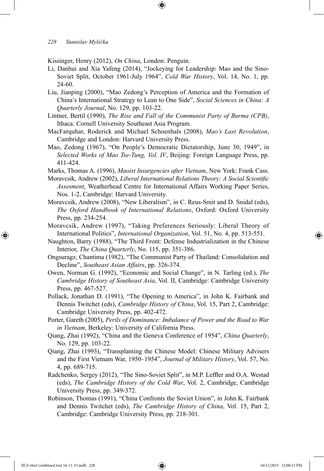Kissinger, Henry (2012), *On China*, London: Penguin.

- Li, Danhui and Xia Yafeng (2014), "Jockeying for Leadership: Mao and the Sino-Soviet Split, October 1961-July 1964", *Cold War History*, Vol. 14, No. 1, pp. 24-60.
- Liu, Jianping (2000), "Mao Zedong's Perception of America and the Formation of China's International Strategy to Lean to One Side", *Social Sciences in China: A Quarterly Journal*, No. 129, pp. 103-22.
- Lintner, Bertil (1990), *The Rise and Fall of the Communist Party of Burma (CPB)*, Ithaca: Cornell University Southeast Asia Program.
- MacFarquhar, Roderick and Michael Schoenhals (2008), *Mao's Last Revolution*, Cambridge and London: Harvard University Press.
- Mao, Zedong (1967), "On People's Democratic Dictatorship, June 30, 1949", in *Selected Works of Mao Tse-Tung, Vol. IV*, Beijing: Foreign Language Press, pp. 411-424.
- Marks, Thomas A. (1996), *Maoist Insurgencies after Vietnam*, New York: Frank Cass.
- Moravcsik, Andrew (2002), *Liberal International Relations Theory: A Social Scientific Assesment*, Weatherhead Centre for International Affairs Working Paper Series, Nos. 1-2, Cambridge: Harvard University.
- Moravcsik, Andrew (2008), "New Liberalism", in C. Reus-Smit and D. Snidal (eds), *The Oxford Handbook of International Relations*, Oxford: Oxford University Press, pp. 234-254.
- Moravcsik, Andrew (1997), "Taking Preferences Seriously: Liberal Theory of International Politics", *International Organization*, Vol. 51, No. 4, pp. 513-551.
- Naughton, Barry (1988), "The Third Front: Defense Industrialization in the Chinese Interior, *The China Quarterly*, No. 115, pp. 351-386.
- Ongsuragz, Chantima (1982), "The Communist Party of Thailand: Consolidation and Decline", *Southeast Asian Affairs*, pp. 326-374.
- Owen, Norman G. (1992), "Economic and Social Change", in N. Tarling (ed.), *The Cambridge History of Southeast Asia*, Vol. II, Cambridge: Cambridge University Press, pp. 467-527.
- Pollack, Jonathan D. (1991), "The Opening to America", in John K. Fairbank and Dennis Twitchet (eds), *Cambridge History of China*, Vol. 15, Part 2, Cambridge: Cambridge University Press, pp. 402-472.
- Porter, Gareth (2005), *Perils of Dominance: Imbalance of Power and the Road to War in Vietnam*, Berkeley: University of California Press.
- Qiang, Zhai (1992), "China and the Geneva Conference of 1954", *China Quarterly*, No. 129, pp. 103-22.
- Qiang, Zhai (1993), "Transplanting the Chinese Model: Chinese Military Advisers and the First Vietnam War, 1950–1954", *Journal of Military History*, Vol. 57, No. 4, pp. 689-715.
- Radchenko, Sergey (2012), "The Sino-Soviet Split", in M.P. Leffler and O.A. Westad (eds), *The Cambridge History of the Cold War*, Vol. 2, Cambridge, Cambridge University Press, pp. 349-372.
- Robinson, Thomas (1991), "China Confronts the Soviet Union", in John K. Fairbank and Dennis Twitchet (eds), *The Cambridge History of China*, Vol. 15, Part 2, Cambridge: Cambridge University Press, pp. 218-301.

IJCS v6n3 combined text 16-11-15.indb 228 16/11/2015 12:00:13 PM

⊕

↔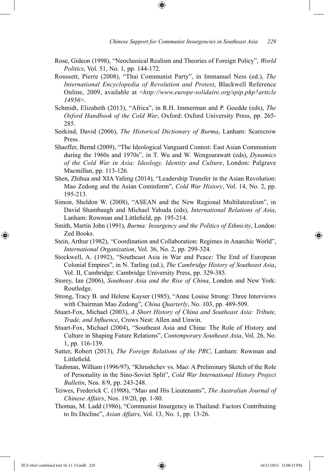Rose, Gideon (1998), "Neoclassical Realism and Theories of Foreign Policy", *World Politics*, Vol. 51, No. 1, pp. 144-172.

⊕

- Roussett, Pierre (2008), "Thai Communist Party", in Immanuel Ness (ed.), *The International Encyclopedia of Revolution and Protest*, Blackwell Reference Online, 2009, available at <*http://www.europe-solidaire.org/spip.php?article 14956*>.
- Schmidt, Elizabeth (2013), "Africa", in R.H. Immerman and P. Goedde (eds), *The Oxford Handbook of the Cold War*, Oxford: Oxford University Press, pp. 265- 285.
- Seekind, David (2006), *The Historical Dictionary of Burma*, Lanham: Scarecrow Press.
- Shaeffer, Bernd (2009), "The Ideological Vanguard Contest: East Asian Communism during the 1960s and 1970s", in T. Wu and W. Wongsurawatt (eds), *Dynamics of the Cold War in Asia: Ideology, Identity and Culture*, London: Palgrave Macmillan, pp. 113-126.
- Shen, Zhihua and XIA Yafeng (2014), "Leadership Transfer in the Asian Revolution: Mao Zedong and the Asian Cominform", *Cold War History*, Vol. 14, No. 2, pp. 195-213.
- Simon, Sheldon W. (2008), "ASEAN and the New Regional Multilateralism", in David Shambaugh and Michael Yahuda (eds), *International Relations of Asia*, Lanham: Rowman and Littlefield, pp. 195-214.
- Smith, Martin John (1991), *Burma: Insurgency and the Politics of Ethnicity*, London: Zed Books.
- Stein, Arthur (1982), "Coordination and Collaboration: Regimes in Anarchic World", *International Organization*, Vol. 36, No. 2, pp. 299-324.
- Stockwell, A. (1992), "Southeast Asia in War and Peace: The End of European Colonial Empires", in N. Tarling (ed.), *The Cambridge History of Southeast Asia*, Vol. II, Cambridge: Cambridge University Press, pp. 329-385.
- Storey, Ian (2006), *Southeast Asia and the Rise of China*, London and New York: Routledge.
- Strong, Tracy B. and Helene Kayser (1985), "Anne Louise Strong: Three Interviews with Chairman Mao Zedong", *China Quarterly*, No. 103, pp. 489-509.
- Stuart-Fox, Michael (2003), *A Short History of China and Southeast Asia: Tribute, Trade, and Influence*, Crows Nest: Allen and Unwin.
- Stuart-Fox, Michael (2004), "Southeast Asia and China: The Role of History and Culture in Shaping Future Relations", *Contemporary Southeast Asia*, Vol. 26, No. 1, pp. 116-139.
- Sutter, Robert (2013), *The Foreign Relations of the PRC*, Lanham: Rowman and Littlefield.
- Taubman, William (1996/97), "Khrushchev vs. Mao: A Preliminary Sketch of the Role of Personality in the Sino-Soviet Split", *Cold War International History Project Bulletin*, Nos. 8/9, pp. 243-248.
- Teiwes, Frederick C. (1988), "Mao and His Lieutenants", *The Australian Journal of Chinese Affairs*, Nos. 19/20, pp. 1-80.
- Thomas, M. Ladd (1986), "Communist Insurgency in Thailand: Factors Contributing to Its Decline", *Asian Affairs*, Vol. 13, No. 1, pp. 13-26.

⊕